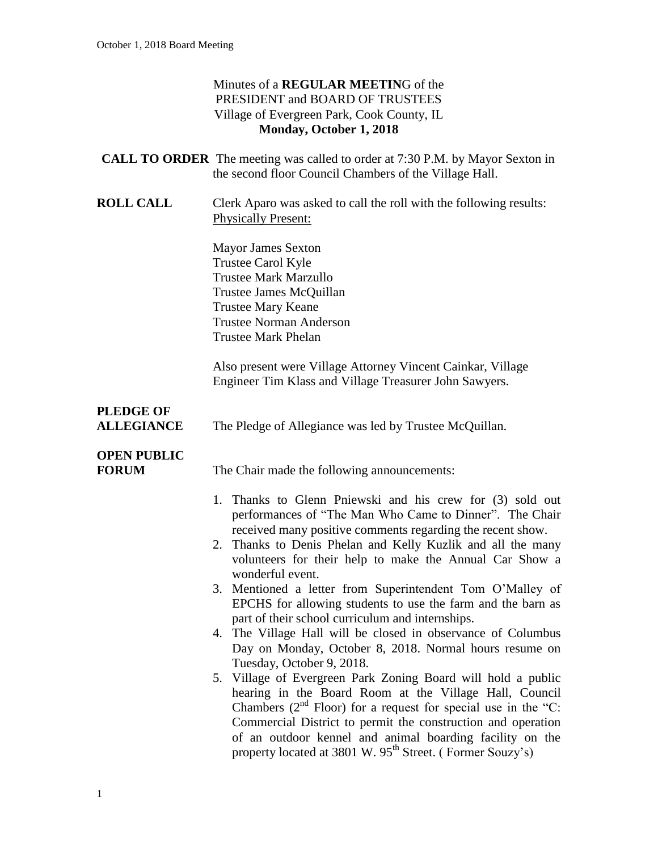| Minutes of a REGULAR MEETING of the        |
|--------------------------------------------|
| PRESIDENT and BOARD OF TRUSTEES            |
| Village of Evergreen Park, Cook County, IL |
| Monday, October 1, 2018                    |

|                                       | <b>CALL TO ORDER</b> The meeting was called to order at 7:30 P.M. by Mayor Sexton in<br>the second floor Council Chambers of the Village Hall.                                                                                                                                                                                                                                                     |
|---------------------------------------|----------------------------------------------------------------------------------------------------------------------------------------------------------------------------------------------------------------------------------------------------------------------------------------------------------------------------------------------------------------------------------------------------|
| <b>ROLL CALL</b>                      | Clerk Aparo was asked to call the roll with the following results:<br><b>Physically Present:</b>                                                                                                                                                                                                                                                                                                   |
|                                       | <b>Mayor James Sexton</b><br>Trustee Carol Kyle<br>Trustee Mark Marzullo<br>Trustee James McQuillan<br><b>Trustee Mary Keane</b><br><b>Trustee Norman Anderson</b><br><b>Trustee Mark Phelan</b>                                                                                                                                                                                                   |
|                                       | Also present were Village Attorney Vincent Cainkar, Village<br>Engineer Tim Klass and Village Treasurer John Sawyers.                                                                                                                                                                                                                                                                              |
| <b>PLEDGE OF</b><br><b>ALLEGIANCE</b> | The Pledge of Allegiance was led by Trustee McQuillan.                                                                                                                                                                                                                                                                                                                                             |
| <b>OPEN PUBLIC</b><br><b>FORUM</b>    | The Chair made the following announcements:<br>1. Thanks to Glenn Pniewski and his crew for (3) sold out<br>performances of "The Man Who Came to Dinner". The Chair<br>received many positive comments regarding the recent show.                                                                                                                                                                  |
|                                       | 2. Thanks to Denis Phelan and Kelly Kuzlik and all the many<br>volunteers for their help to make the Annual Car Show a<br>wonderful event.<br>3. Mentioned a letter from Superintendent Tom O'Malley of<br>EPCHS for allowing students to use the farm and the barn as<br>part of their school curriculum and internships.                                                                         |
|                                       | 4. The Village Hall will be closed in observance of Columbus<br>Day on Monday, October 8, 2018. Normal hours resume on<br>Tuesday, October 9, 2018.                                                                                                                                                                                                                                                |
|                                       | 5. Village of Evergreen Park Zoning Board will hold a public<br>hearing in the Board Room at the Village Hall, Council<br>Chambers ( $2^{nd}$ Floor) for a request for special use in the "C:<br>Commercial District to permit the construction and operation<br>of an outdoor kennel and animal boarding facility on the<br>property located at 3801 W. 95 <sup>th</sup> Street. (Former Souzy's) |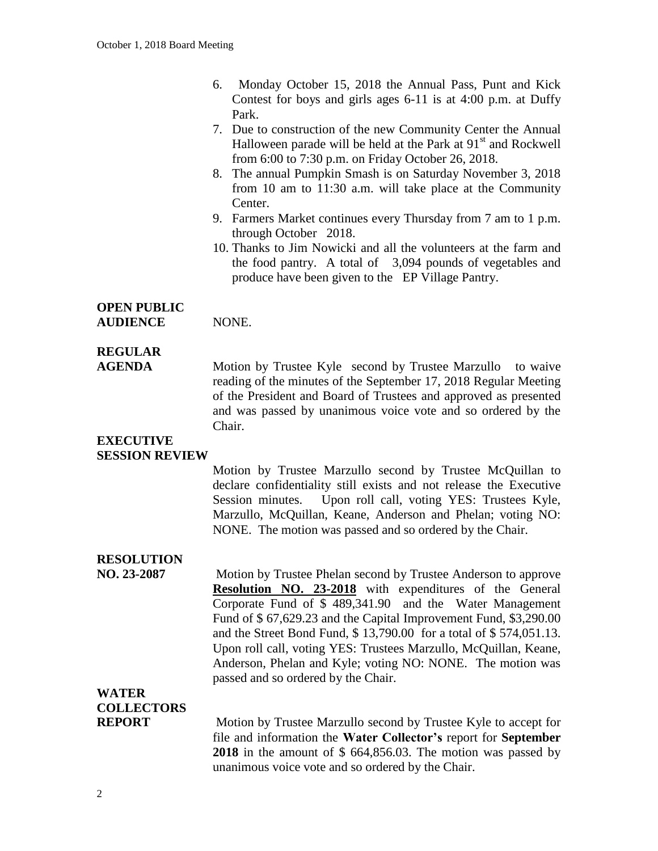- 6. Monday October 15, 2018 the Annual Pass, Punt and Kick Contest for boys and girls ages 6-11 is at 4:00 p.m. at Duffy Park.
- 7. Due to construction of the new Community Center the Annual Halloween parade will be held at the Park at  $91<sup>st</sup>$  and Rockwell from 6:00 to 7:30 p.m. on Friday October 26, 2018.
- 8. The annual Pumpkin Smash is on Saturday November 3, 2018 from 10 am to 11:30 a.m. will take place at the Community Center.
- 9. Farmers Market continues every Thursday from 7 am to 1 p.m. through October 2018.
- 10. Thanks to Jim Nowicki and all the volunteers at the farm and the food pantry. A total of 3,094 pounds of vegetables and produce have been given to the EP Village Pantry.

#### **OPEN PUBLIC** AUDIENCE NONE.

#### **REGULAR**

**AGENDA** Motion by Trustee Kyle second by Trustee Marzullo to waive reading of the minutes of the September 17, 2018 Regular Meeting of the President and Board of Trustees and approved as presented and was passed by unanimous voice vote and so ordered by the Chair.

#### **EXECUTIVE SESSION REVIEW**

Motion by Trustee Marzullo second by Trustee McQuillan to declare confidentiality still exists and not release the Executive Session minutes. Upon roll call, voting YES: Trustees Kyle, Marzullo, McQuillan, Keane, Anderson and Phelan; voting NO: NONE. The motion was passed and so ordered by the Chair.

#### **RESOLUTION**

**NO. 23-2087** Motion by Trustee Phelan second by Trustee Anderson to approve **Resolution NO. 23-2018** with expenditures of the General Corporate Fund of \$ 489,341.90 and the Water Management Fund of \$ 67,629.23 and the Capital Improvement Fund, \$3,290.00 and the Street Bond Fund, \$ 13,790.00 for a total of \$ 574,051.13. Upon roll call, voting YES: Trustees Marzullo, McQuillan, Keane, Anderson, Phelan and Kyle; voting NO: NONE. The motion was passed and so ordered by the Chair.

**WATER** 

### **COLLECTORS**

**REPORT** Motion by Trustee Marzullo second by Trustee Kyle to accept for file and information the **Water Collector's** report for **September 2018** in the amount of \$ 664,856.03. The motion was passed by unanimous voice vote and so ordered by the Chair.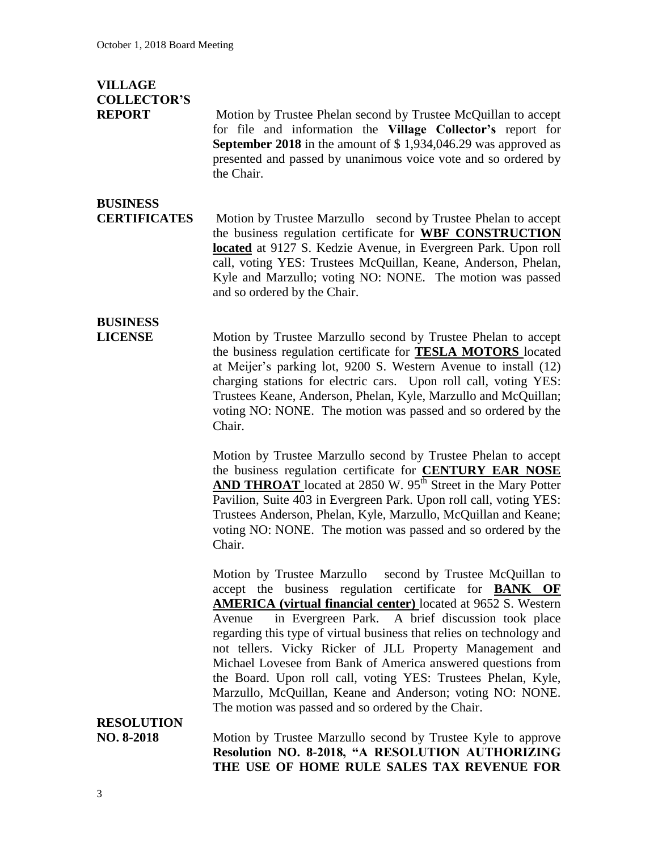## **VILLAGE COLLECTOR'S**

**REPORT** Motion by Trustee Phelan second by Trustee McQuillan to accept for file and information the **Village Collector's** report for **September 2018** in the amount of \$ 1,934,046.29 was approved as presented and passed by unanimous voice vote and so ordered by the Chair.

### **BUSINESS**

**CERTIFICATES** Motion by Trustee Marzullo second by Trustee Phelan to accept the business regulation certificate for **WBF CONSTRUCTION located** at 9127 S. Kedzie Avenue, in Evergreen Park. Upon roll call, voting YES: Trustees McQuillan, Keane, Anderson, Phelan, Kyle and Marzullo; voting NO: NONE. The motion was passed and so ordered by the Chair.

# **BUSINESS**

**LICENSE** Motion by Trustee Marzullo second by Trustee Phelan to accept the business regulation certificate for **TESLA MOTORS** located at Meijer's parking lot, 9200 S. Western Avenue to install (12) charging stations for electric cars. Upon roll call, voting YES: Trustees Keane, Anderson, Phelan, Kyle, Marzullo and McQuillan; voting NO: NONE. The motion was passed and so ordered by the Chair.

> Motion by Trustee Marzullo second by Trustee Phelan to accept the business regulation certificate for **CENTURY EAR NOSE AND THROAT** located at 2850 W. 95<sup>th</sup> Street in the Mary Potter Pavilion, Suite 403 in Evergreen Park. Upon roll call, voting YES: Trustees Anderson, Phelan, Kyle, Marzullo, McQuillan and Keane; voting NO: NONE. The motion was passed and so ordered by the Chair.

> Motion by Trustee Marzullo second by Trustee McQuillan to accept the business regulation certificate for **BANK OF AMERICA (virtual financial center)** located at 9652 S. Western Avenue in Evergreen Park. A brief discussion took place regarding this type of virtual business that relies on technology and not tellers. Vicky Ricker of JLL Property Management and Michael Lovesee from Bank of America answered questions from the Board. Upon roll call, voting YES: Trustees Phelan, Kyle, Marzullo, McQuillan, Keane and Anderson; voting NO: NONE. The motion was passed and so ordered by the Chair.

## **RESOLUTION**

**NO. 8-2018** Motion by Trustee Marzullo second by Trustee Kyle to approve **Resolution NO. 8-2018, "A RESOLUTION AUTHORIZING THE USE OF HOME RULE SALES TAX REVENUE FOR**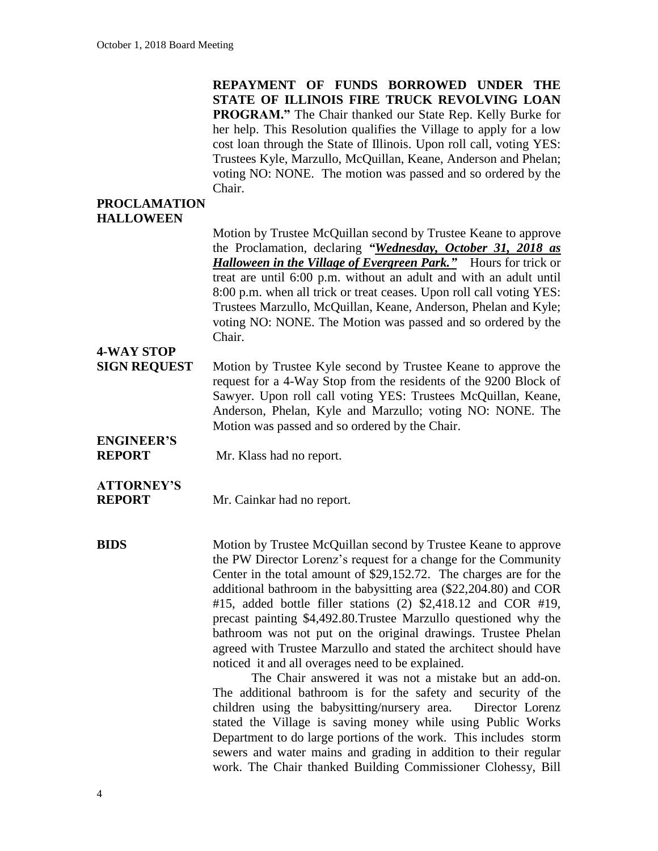**REPAYMENT OF FUNDS BORROWED UNDER THE STATE OF ILLINOIS FIRE TRUCK REVOLVING LOAN PROGRAM."** The Chair thanked our State Rep. Kelly Burke for her help. This Resolution qualifies the Village to apply for a low cost loan through the State of Illinois. Upon roll call, voting YES: Trustees Kyle, Marzullo, McQuillan, Keane, Anderson and Phelan; voting NO: NONE. The motion was passed and so ordered by the Chair.

#### **PROCLAMATION HALLOWEEN**

Motion by Trustee McQuillan second by Trustee Keane to approve the Proclamation, declaring *"Wednesday, October 31, 2018 as Halloween in the Village of Evergreen Park."* Hours for trick or treat are until 6:00 p.m. without an adult and with an adult until 8:00 p.m. when all trick or treat ceases. Upon roll call voting YES: Trustees Marzullo, McQuillan, Keane, Anderson, Phelan and Kyle; voting NO: NONE. The Motion was passed and so ordered by the Chair.

## **4-WAY STOP**

- **SIGN REQUEST** Motion by Trustee Kyle second by Trustee Keane to approve the request for a 4-Way Stop from the residents of the 9200 Block of Sawyer. Upon roll call voting YES: Trustees McQuillan, Keane, Anderson, Phelan, Kyle and Marzullo; voting NO: NONE. The Motion was passed and so ordered by the Chair.
- **ENGINEER'S REPORT** Mr. Klass had no report.

### **ATTORNEY'S**

**REPORT** Mr. Cainkar had no report.

**BIDS** Motion by Trustee McQuillan second by Trustee Keane to approve the PW Director Lorenz's request for a change for the Community Center in the total amount of \$29,152.72. The charges are for the additional bathroom in the babysitting area (\$22,204.80) and COR #15, added bottle filler stations (2) \$2,418.12 and COR #19, precast painting \$4,492.80.Trustee Marzullo questioned why the bathroom was not put on the original drawings. Trustee Phelan agreed with Trustee Marzullo and stated the architect should have noticed it and all overages need to be explained.

> The Chair answered it was not a mistake but an add-on. The additional bathroom is for the safety and security of the children using the babysitting/nursery area. Director Lorenz stated the Village is saving money while using Public Works Department to do large portions of the work. This includes storm sewers and water mains and grading in addition to their regular work. The Chair thanked Building Commissioner Clohessy, Bill